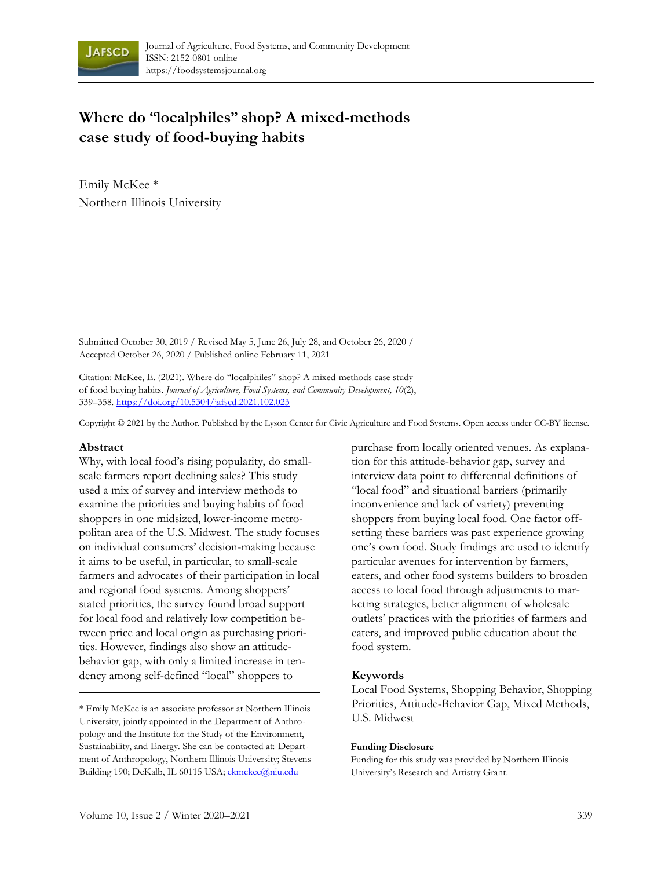

# **Where do "localphiles" shop? A mixed-methods case study of food-buying habits**

Emily McKee \* Northern Illinois University

Submitted October 30, 2019 / Revised May 5, June 26, July 28, and October 26, 2020 / Accepted October 26, 2020 / Published online February 11, 2021

Citation: McKee, E. (2021). Where do "localphiles" shop? A mixed-methods case study of food buying habits. *Journal of Agriculture, Food Systems, and Community Development, 10*(2), 339–358. https://doi.org/10.5304/jafscd.2021.102.023

Copyright © 2021 by the Author. Published by the Lyson Center for Civic Agriculture and Food Systems. Open access under CC-BY license.

### **Abstract**

Why, with local food's rising popularity, do smallscale farmers report declining sales? This study used a mix of survey and interview methods to examine the priorities and buying habits of food shoppers in one midsized, lower-income metropolitan area of the U.S. Midwest. The study focuses on individual consumers' decision-making because it aims to be useful, in particular, to small-scale farmers and advocates of their participation in local and regional food systems. Among shoppers' stated priorities, the survey found broad support for local food and relatively low competition between price and local origin as purchasing priorities. However, findings also show an attitudebehavior gap, with only a limited increase in tendency among self-defined "local" shoppers to

\* Emily McKee is an associate professor at Northern Illinois University, jointly appointed in the Department of Anthropology and the Institute for the Study of the Environment, Sustainability, and Energy. She can be contacted at: Department of Anthropology, Northern Illinois University; Stevens Building 190; DeKalb, IL 60115 USA; ekmckee@niu.edu

purchase from locally oriented venues. As explanation for this attitude-behavior gap, survey and interview data point to differential definitions of "local food" and situational barriers (primarily inconvenience and lack of variety) preventing shoppers from buying local food. One factor offsetting these barriers was past experience growing one's own food. Study findings are used to identify particular avenues for intervention by farmers, eaters, and other food systems builders to broaden access to local food through adjustments to marketing strategies, better alignment of wholesale outlets' practices with the priorities of farmers and eaters, and improved public education about the food system.

### **Keywords**

Local Food Systems, Shopping Behavior, Shopping Priorities, Attitude-Behavior Gap, Mixed Methods, U.S. Midwest

#### **Funding Disclosure**

Funding for this study was provided by Northern Illinois University's Research and Artistry Grant.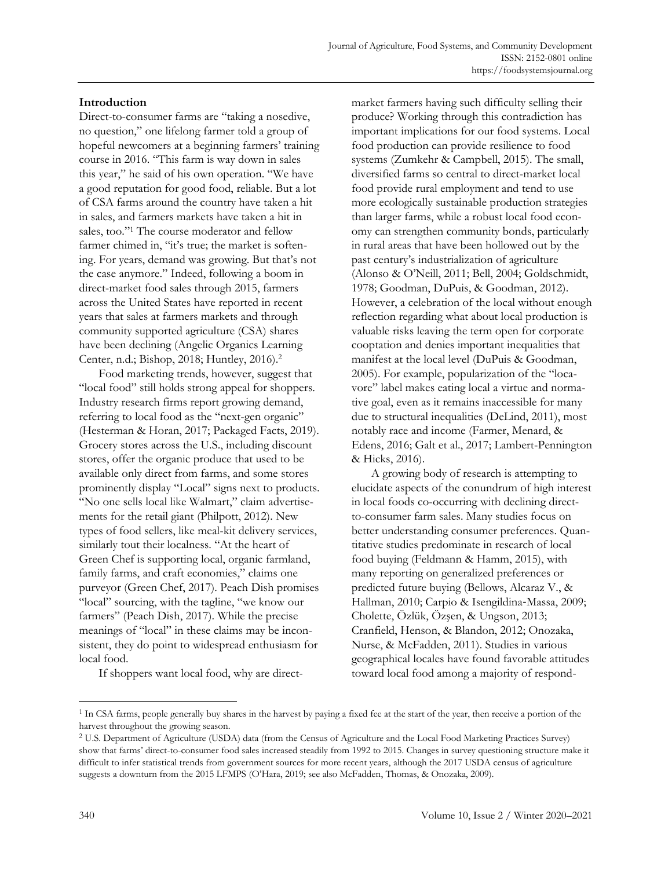market farmers having such difficulty selling their

## **Introduction**

Direct-to-consumer farms are "taking a nosedive, no question," one lifelong farmer told a group of hopeful newcomers at a beginning farmers' training course in 2016. "This farm is way down in sales this year," he said of his own operation. "We have a good reputation for good food, reliable. But a lot of CSA farms around the country have taken a hit in sales, and farmers markets have taken a hit in sales, too."<sup>1</sup> The course moderator and fellow farmer chimed in, "it's true; the market is softening. For years, demand was growing. But that's not the case anymore." Indeed, following a boom in direct-market food sales through 2015, farmers across the United States have reported in recent years that sales at farmers markets and through community supported agriculture (CSA) shares have been declining (Angelic Organics Learning Center, n.d.; Bishop, 2018; Huntley, 2016). 2

Food marketing trends, however, suggest that "local food" still holds strong appeal for shoppers. Industry research firms report growing demand, referring to local food as the "next-gen organic" (Hesterman & Horan, 2017; Packaged Facts, 2019). Grocery stores across the U.S., including discount stores, offer the organic produce that used to be available only direct from farms, and some stores prominently display "Local" signs next to products. "No one sells local like Walmart," claim advertisements for the retail giant (Philpott, 2012). New types of food sellers, like meal-kit delivery services, similarly tout their localness. "At the heart of Green Chef is supporting local, organic farmland, family farms, and craft economies," claims one purveyor (Green Chef, 2017). Peach Dish promises "local" sourcing, with the tagline, "we know our farmers" (Peach Dish, 2017). While the precise meanings of "local" in these claims may be inconsistent, they do point to widespread enthusiasm for local food.

produce? Working through this contradiction has important implications for our food systems. Local food production can provide resilience to food systems (Zumkehr & Campbell, 2015). The small, diversified farms so central to direct-market local food provide rural employment and tend to use more ecologically sustainable production strategies than larger farms, while a robust local food economy can strengthen community bonds, particularly in rural areas that have been hollowed out by the past century's industrialization of agriculture (Alonso & O'Neill, 2011; Bell, 2004; Goldschmidt, 1978; Goodman, DuPuis, & Goodman, 2012). However, a celebration of the local without enough reflection regarding what about local production is valuable risks leaving the term open for corporate cooptation and denies important inequalities that manifest at the local level (DuPuis & Goodman, 2005). For example, popularization of the "locavore" label makes eating local a virtue and normative goal, even as it remains inaccessible for many due to structural inequalities (DeLind, 2011), most notably race and income (Farmer, Menard, & Edens, 2016; Galt et al., 2017; Lambert-Pennington & Hicks, 2016).

A growing body of research is attempting to elucidate aspects of the conundrum of high interest in local foods co-occurring with declining directto-consumer farm sales. Many studies focus on better understanding consumer preferences. Quantitative studies predominate in research of local food buying (Feldmann & Hamm, 2015), with many reporting on generalized preferences or predicted future buying (Bellows, Alcaraz V., & Hallman, 2010; Carpio & Isengildina‐Massa, 2009; Cholette, Özlük, Özşen, & Ungson, 2013; Cranfield, Henson, & Blandon, 2012; Onozaka, Nurse, & McFadden, 2011). Studies in various geographical locales have found favorable attitudes toward local food among a majority of respond-

If shoppers want local food, why are direct-

<sup>&</sup>lt;sup>1</sup> In CSA farms, people generally buy shares in the harvest by paying a fixed fee at the start of the year, then receive a portion of the harvest throughout the growing season.

<sup>2</sup> U.S. Department of Agriculture (USDA) data (from the Census of Agriculture and the Local Food Marketing Practices Survey) show that farms' direct-to-consumer food sales increased steadily from 1992 to 2015. Changes in survey questioning structure make it difficult to infer statistical trends from government sources for more recent years, although the 2017 USDA census of agriculture suggests a downturn from the 2015 LFMPS (O'Hara, 2019; see also McFadden, Thomas, & Onozaka, 2009).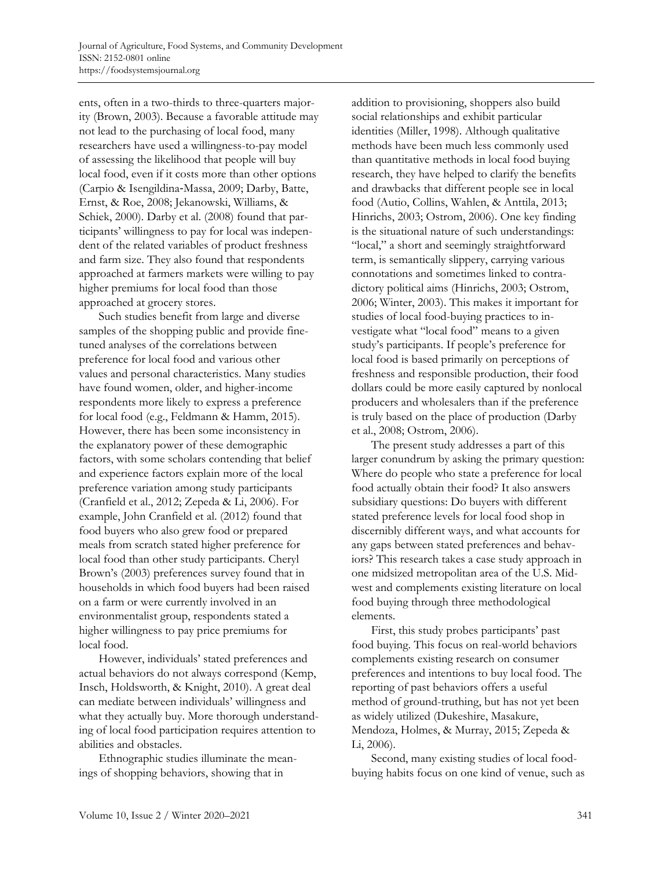ents, often in a two-thirds to three-quarters majority (Brown, 2003). Because a favorable attitude may not lead to the purchasing of local food, many researchers have used a willingness-to-pay model of assessing the likelihood that people will buy local food, even if it costs more than other options (Carpio & Isengildina‐Massa, 2009; Darby, Batte, Ernst, & Roe, 2008; Jekanowski, Williams, & Schiek, 2000). Darby et al. (2008) found that participants' willingness to pay for local was independent of the related variables of product freshness and farm size. They also found that respondents approached at farmers markets were willing to pay higher premiums for local food than those approached at grocery stores.

Such studies benefit from large and diverse samples of the shopping public and provide finetuned analyses of the correlations between preference for local food and various other values and personal characteristics. Many studies have found women, older, and higher-income respondents more likely to express a preference for local food (e.g., Feldmann & Hamm, 2015). However, there has been some inconsistency in the explanatory power of these demographic factors, with some scholars contending that belief and experience factors explain more of the local preference variation among study participants (Cranfield et al., 2012; Zepeda & Li, 2006). For example, John Cranfield et al. (2012) found that food buyers who also grew food or prepared meals from scratch stated higher preference for local food than other study participants. Cheryl Brown's (2003) preferences survey found that in households in which food buyers had been raised on a farm or were currently involved in an environmentalist group, respondents stated a higher willingness to pay price premiums for local food.

However, individuals' stated preferences and actual behaviors do not always correspond (Kemp, Insch, Holdsworth, & Knight, 2010). A great deal can mediate between individuals' willingness and what they actually buy. More thorough understanding of local food participation requires attention to abilities and obstacles.

Ethnographic studies illuminate the meanings of shopping behaviors, showing that in

addition to provisioning, shoppers also build social relationships and exhibit particular identities (Miller, 1998). Although qualitative methods have been much less commonly used than quantitative methods in local food buying research, they have helped to clarify the benefits and drawbacks that different people see in local food (Autio, Collins, Wahlen, & Anttila, 2013; Hinrichs, 2003; Ostrom, 2006). One key finding is the situational nature of such understandings: "local," a short and seemingly straightforward term, is semantically slippery, carrying various connotations and sometimes linked to contradictory political aims (Hinrichs, 2003; Ostrom, 2006; Winter, 2003). This makes it important for studies of local food-buying practices to investigate what "local food" means to a given study's participants. If people's preference for local food is based primarily on perceptions of freshness and responsible production, their food dollars could be more easily captured by nonlocal producers and wholesalers than if the preference is truly based on the place of production (Darby et al., 2008; Ostrom, 2006).

The present study addresses a part of this larger conundrum by asking the primary question: Where do people who state a preference for local food actually obtain their food? It also answers subsidiary questions: Do buyers with different stated preference levels for local food shop in discernibly different ways, and what accounts for any gaps between stated preferences and behaviors? This research takes a case study approach in one midsized metropolitan area of the U.S. Midwest and complements existing literature on local food buying through three methodological elements.

First, this study probes participants' past food buying. This focus on real-world behaviors complements existing research on consumer preferences and intentions to buy local food. The reporting of past behaviors offers a useful method of ground-truthing, but has not yet been as widely utilized (Dukeshire, Masakure, Mendoza, Holmes, & Murray, 2015; Zepeda & Li, 2006).

Second, many existing studies of local foodbuying habits focus on one kind of venue, such as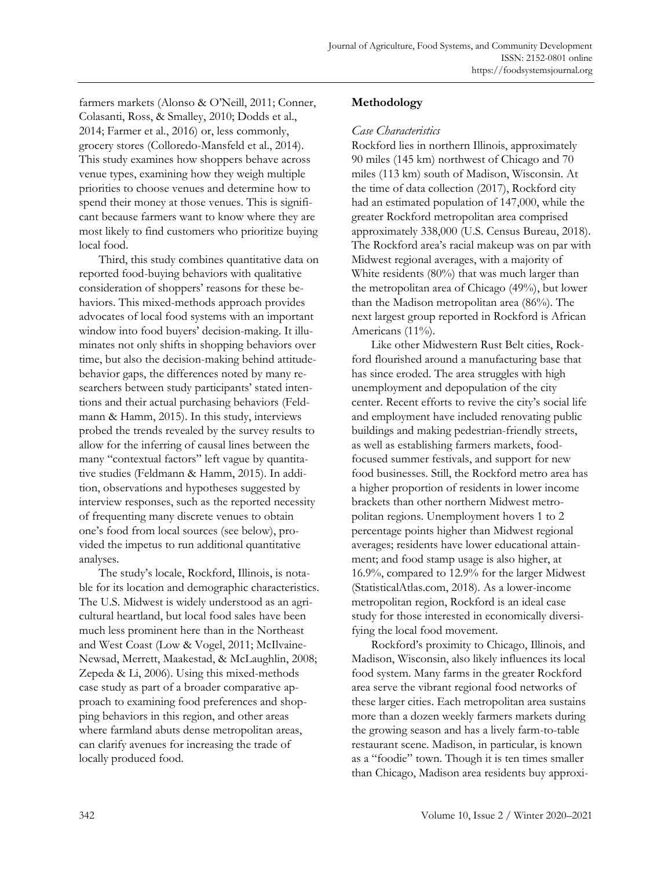farmers markets (Alonso & O'Neill, 2011; Conner, Colasanti, Ross, & Smalley, 2010; Dodds et al., 2014; Farmer et al., 2016) or, less commonly, grocery stores (Colloredo-Mansfeld et al., 2014). This study examines how shoppers behave across venue types, examining how they weigh multiple priorities to choose venues and determine how to spend their money at those venues. This is significant because farmers want to know where they are most likely to find customers who prioritize buying local food.

Third, this study combines quantitative data on reported food-buying behaviors with qualitative consideration of shoppers' reasons for these behaviors. This mixed-methods approach provides advocates of local food systems with an important window into food buyers' decision-making. It illuminates not only shifts in shopping behaviors over time, but also the decision-making behind attitudebehavior gaps, the differences noted by many researchers between study participants' stated intentions and their actual purchasing behaviors (Feldmann & Hamm, 2015). In this study, interviews probed the trends revealed by the survey results to allow for the inferring of causal lines between the many "contextual factors" left vague by quantitative studies (Feldmann & Hamm, 2015). In addition, observations and hypotheses suggested by interview responses, such as the reported necessity of frequenting many discrete venues to obtain one's food from local sources (see below), provided the impetus to run additional quantitative analyses.

The study's locale, Rockford, Illinois, is notable for its location and demographic characteristics. The U.S. Midwest is widely understood as an agricultural heartland, but local food sales have been much less prominent here than in the Northeast and West Coast (Low & Vogel, 2011; McIlvaine-Newsad, Merrett, Maakestad, & McLaughlin, 2008; Zepeda & Li, 2006). Using this mixed-methods case study as part of a broader comparative approach to examining food preferences and shopping behaviors in this region, and other areas where farmland abuts dense metropolitan areas, can clarify avenues for increasing the trade of locally produced food.

## **Methodology**

### *Case Characteristics*

Rockford lies in northern Illinois, approximately 90 miles (145 km) northwest of Chicago and 70 miles (113 km) south of Madison, Wisconsin. At the time of data collection (2017), Rockford city had an estimated population of 147,000, while the greater Rockford metropolitan area comprised approximately 338,000 (U.S. Census Bureau, 2018). The Rockford area's racial makeup was on par with Midwest regional averages, with a majority of White residents (80%) that was much larger than the metropolitan area of Chicago (49%), but lower than the Madison metropolitan area (86%). The next largest group reported in Rockford is African Americans (11%).

Like other Midwestern Rust Belt cities, Rockford flourished around a manufacturing base that has since eroded. The area struggles with high unemployment and depopulation of the city center. Recent efforts to revive the city's social life and employment have included renovating public buildings and making pedestrian-friendly streets, as well as establishing farmers markets, foodfocused summer festivals, and support for new food businesses. Still, the Rockford metro area has a higher proportion of residents in lower income brackets than other northern Midwest metropolitan regions. Unemployment hovers 1 to 2 percentage points higher than Midwest regional averages; residents have lower educational attainment; and food stamp usage is also higher, at 16.9%, compared to 12.9% for the larger Midwest (StatisticalAtlas.com, 2018). As a lower-income metropolitan region, Rockford is an ideal case study for those interested in economically diversifying the local food movement.

Rockford's proximity to Chicago, Illinois, and Madison, Wisconsin, also likely influences its local food system. Many farms in the greater Rockford area serve the vibrant regional food networks of these larger cities. Each metropolitan area sustains more than a dozen weekly farmers markets during the growing season and has a lively farm-to-table restaurant scene. Madison, in particular, is known as a "foodie" town. Though it is ten times smaller than Chicago, Madison area residents buy approxi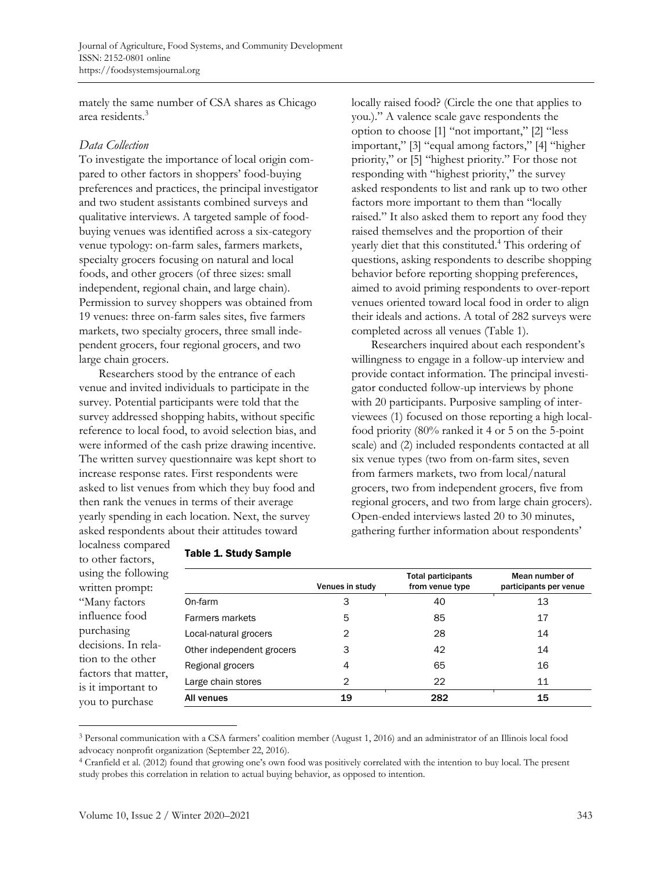mately the same number of CSA shares as Chicago area residents.<sup>3</sup>

### *Data Collection*

To investigate the importance of local origin compared to other factors in shoppers' food-buying preferences and practices, the principal investigator and two student assistants combined surveys and qualitative interviews. A targeted sample of foodbuying venues was identified across a six-category venue typology: on-farm sales, farmers markets, specialty grocers focusing on natural and local foods, and other grocers (of three sizes: small independent, regional chain, and large chain). Permission to survey shoppers was obtained from 19 venues: three on-farm sales sites, five farmers markets, two specialty grocers, three small independent grocers, four regional grocers, and two large chain grocers.

Researchers stood by the entrance of each venue and invited individuals to participate in the survey. Potential participants were told that the survey addressed shopping habits, without specific reference to local food, to avoid selection bias, and were informed of the cash prize drawing incentive. The written survey questionnaire was kept short to increase response rates. First respondents were asked to list venues from which they buy food and then rank the venues in terms of their average yearly spending in each location. Next, the survey asked respondents about their attitudes toward

locally raised food? (Circle the one that applies to you.)." A valence scale gave respondents the option to choose [1] "not important," [2] "less important," [3] "equal among factors," [4] "higher priority," or [5] "highest priority." For those not responding with "highest priority," the survey asked respondents to list and rank up to two other factors more important to them than "locally raised." It also asked them to report any food they raised themselves and the proportion of their yearly diet that this constituted. <sup>4</sup> This ordering of questions, asking respondents to describe shopping behavior before reporting shopping preferences, aimed to avoid priming respondents to over-report venues oriented toward local food in order to align their ideals and actions. A total of 282 surveys were completed across all venues (Table 1).

Researchers inquired about each respondent's willingness to engage in a follow-up interview and provide contact information. The principal investigator conducted follow-up interviews by phone with 20 participants. Purposive sampling of interviewees (1) focused on those reporting a high localfood priority (80% ranked it 4 or 5 on the 5-point scale) and (2) included respondents contacted at all six venue types (two from on-farm sites, seven from farmers markets, two from local/natural grocers, two from independent grocers, five from regional grocers, and two from large chain grocers). Open-ended interviews lasted 20 to 30 minutes, gathering further information about respondents'

localness compared to other factors, using the following written prompt: "Many factors influence food purchasing decisions. In relation to the other factors that matter, is it important to you to purchase

| <b>Table 1. Study Sample</b> |  |  |
|------------------------------|--|--|
|------------------------------|--|--|

|                           | Venues in study | <b>Total participants</b><br>from venue type | Mean number of<br>participants per venue |
|---------------------------|-----------------|----------------------------------------------|------------------------------------------|
| On-farm                   | 3               | 40                                           | 13                                       |
| Farmers markets           | 5               | 85                                           | 17                                       |
| Local-natural grocers     | 2               | 28                                           | 14                                       |
| Other independent grocers | 3               | 42                                           | 14                                       |
| Regional grocers          | 4               | 65                                           | 16                                       |
| Large chain stores        | 2               | 22                                           | 11                                       |
| All venues                | 19              | 282                                          | 15                                       |

<sup>3</sup> Personal communication with a CSA farmers' coalition member (August 1, 2016) and an administrator of an Illinois local food advocacy nonprofit organization (September 22, 2016).

<sup>4</sup> Cranfield et al. (2012) found that growing one's own food was positively correlated with the intention to buy local. The present study probes this correlation in relation to actual buying behavior, as opposed to intention.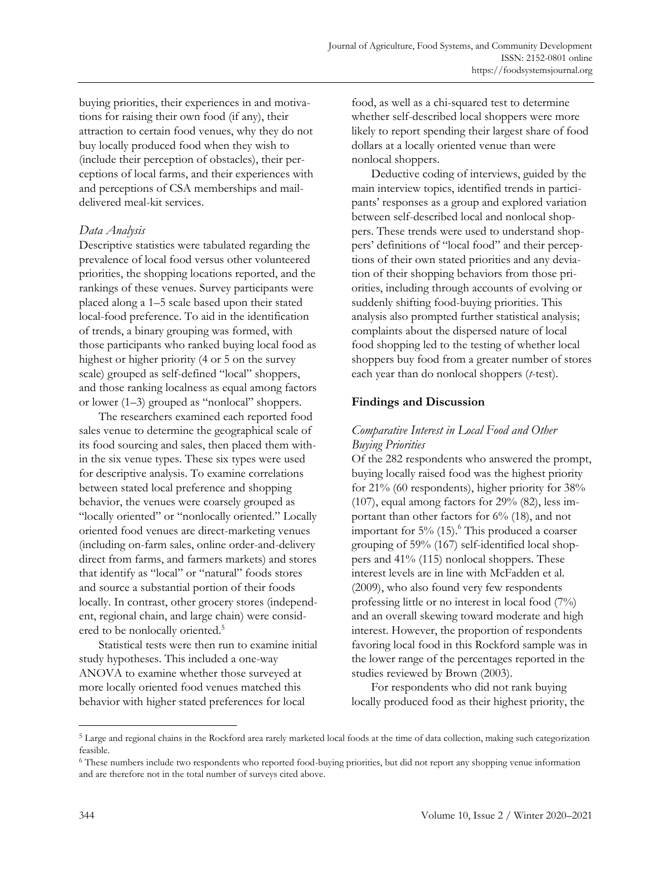buying priorities, their experiences in and motivations for raising their own food (if any), their attraction to certain food venues, why they do not buy locally produced food when they wish to (include their perception of obstacles), their perceptions of local farms, and their experiences with and perceptions of CSA memberships and maildelivered meal-kit services.

## *Data Analysis*

Descriptive statistics were tabulated regarding the prevalence of local food versus other volunteered priorities, the shopping locations reported, and the rankings of these venues. Survey participants were placed along a 1–5 scale based upon their stated local-food preference. To aid in the identification of trends, a binary grouping was formed, with those participants who ranked buying local food as highest or higher priority (4 or 5 on the survey scale) grouped as self-defined "local" shoppers, and those ranking localness as equal among factors or lower (1–3) grouped as "nonlocal" shoppers.

The researchers examined each reported food sales venue to determine the geographical scale of its food sourcing and sales, then placed them within the six venue types. These six types were used for descriptive analysis. To examine correlations between stated local preference and shopping behavior, the venues were coarsely grouped as "locally oriented" or "nonlocally oriented." Locally oriented food venues are direct-marketing venues (including on-farm sales, online order-and-delivery direct from farms, and farmers markets) and stores that identify as "local" or "natural" foods stores and source a substantial portion of their foods locally. In contrast, other grocery stores (independent, regional chain, and large chain) were considered to be nonlocally oriented. 5

Statistical tests were then run to examine initial study hypotheses. This included a one-way ANOVA to examine whether those surveyed at more locally oriented food venues matched this behavior with higher stated preferences for local

food, as well as a chi-squared test to determine whether self-described local shoppers were more likely to report spending their largest share of food dollars at a locally oriented venue than were nonlocal shoppers.

Deductive coding of interviews, guided by the main interview topics, identified trends in participants' responses as a group and explored variation between self-described local and nonlocal shoppers. These trends were used to understand shoppers' definitions of "local food" and their perceptions of their own stated priorities and any deviation of their shopping behaviors from those priorities, including through accounts of evolving or suddenly shifting food-buying priorities. This analysis also prompted further statistical analysis; complaints about the dispersed nature of local food shopping led to the testing of whether local shoppers buy food from a greater number of stores each year than do nonlocal shoppers (*t*-test).

## **Findings and Discussion**

## *Comparative Interest in Local Food and Other Buying Priorities*

Of the 282 respondents who answered the prompt, buying locally raised food was the highest priority for 21% (60 respondents), higher priority for 38% (107), equal among factors for 29% (82), less important than other factors for 6% (18), and not important for 5% (15). <sup>6</sup> This produced a coarser grouping of 59% (167) self-identified local shoppers and 41% (115) nonlocal shoppers. These interest levels are in line with McFadden et al. (2009), who also found very few respondents professing little or no interest in local food (7%) and an overall skewing toward moderate and high interest. However, the proportion of respondents favoring local food in this Rockford sample was in the lower range of the percentages reported in the studies reviewed by Brown (2003).

For respondents who did not rank buying locally produced food as their highest priority, the

<sup>5</sup> Large and regional chains in the Rockford area rarely marketed local foods at the time of data collection, making such categorization feasible.

<sup>6</sup> These numbers include two respondents who reported food-buying priorities, but did not report any shopping venue information and are therefore not in the total number of surveys cited above.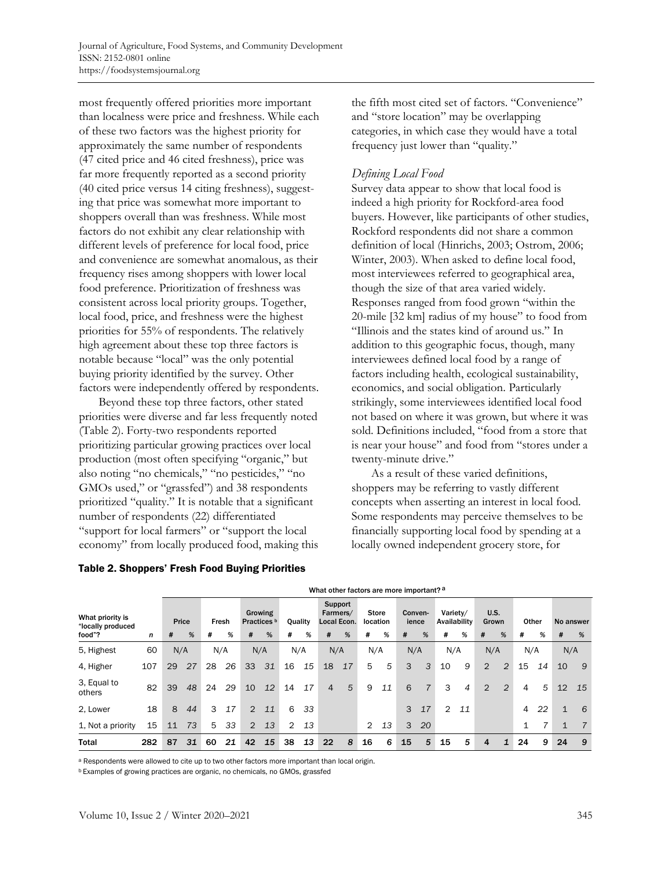most frequently offered priorities more important than localness were price and freshness. While each of these two factors was the highest priority for approximately the same number of respondents (47 cited price and 46 cited freshness), price was far more frequently reported as a second priority (40 cited price versus 14 citing freshness), suggesting that price was somewhat more important to shoppers overall than was freshness. While most factors do not exhibit any clear relationship with different levels of preference for local food, price and convenience are somewhat anomalous, as their frequency rises among shoppers with lower local food preference. Prioritization of freshness was consistent across local priority groups. Together, local food, price, and freshness were the highest priorities for 55% of respondents. The relatively high agreement about these top three factors is notable because "local" was the only potential buying priority identified by the survey. Other factors were independently offered by respondents.

Beyond these top three factors, other stated priorities were diverse and far less frequently noted (Table 2). Forty-two respondents reported prioritizing particular growing practices over local production (most often specifying "organic," but also noting "no chemicals," "no pesticides," "no GMOs used," or "grassfed") and 38 respondents prioritized "quality." It is notable that a significant number of respondents (22) differentiated "support for local farmers" or "support the local economy" from locally produced food, making this

#### Table 2. Shoppers' Fresh Food Buying Priorities

the fifth most cited set of factors. "Convenience" and "store location" may be overlapping categories, in which case they would have a total frequency just lower than "quality."

### *Defining Local Food*

Survey data appear to show that local food is indeed a high priority for Rockford-area food buyers. However, like participants of other studies, Rockford respondents did not share a common definition of local (Hinrichs, 2003; Ostrom, 2006; Winter, 2003). When asked to define local food, most interviewees referred to geographical area, though the size of that area varied widely. Responses ranged from food grown "within the 20-mile [32 km] radius of my house" to food from "Illinois and the states kind of around us." In addition to this geographic focus, though, many interviewees defined local food by a range of factors including health, ecological sustainability, economics, and social obligation. Particularly strikingly, some interviewees identified local food not based on where it was grown, but where it was sold. Definitions included, "food from a store that is near your house" and food from "stores under a twenty-minute drive."

As a result of these varied definitions, shoppers may be referring to vastly different concepts when asserting an interest in local food. Some respondents may perceive themselves to be financially supporting local food by spending at a locally owned independent grocery store, for

|                                       |     | what other factors are more important?" |    |    |       |                |         |                |         |                |                                    |                |                          |     |                  |                |                          |                |                |       |    |             |    |
|---------------------------------------|-----|-----------------------------------------|----|----|-------|----------------|---------|----------------|---------|----------------|------------------------------------|----------------|--------------------------|-----|------------------|----------------|--------------------------|----------------|----------------|-------|----|-------------|----|
| What priority is<br>"locally produced |     | Price                                   |    |    | Fresh | Practices b    | Growing |                | Quality |                | Support<br>Farmers/<br>Local Econ. |                | <b>Store</b><br>location |     | Conven-<br>ience |                | Variety/<br>Availability | U.S.<br>Grown  |                | Other |    | No answer   |    |
| food"?                                | n   | #                                       | %  | #  | %     | #              | %       | #              | %       | #              | %                                  | #              | %                        | #   | %                | #              | %                        | #              | %              | #     | %  | #           | %  |
| 5, Highest                            | 60  | N/A                                     |    |    | N/A   |                | N/A     |                | N/A     |                | N/A                                |                | N/A                      | N/A |                  | N/A            |                          | N/A            |                | N/A   |    | N/A         |    |
| 4, Higher                             | 107 | 29                                      | 27 | 28 | 26    | 33             | 31      | 16             | 15      | 18             | 17                                 | 5              | 5                        | 3   | 3                | 10             | 9                        | 2              | $\overline{c}$ | 15    | 14 | 10          | 9  |
| 3, Equal to<br>others                 | 82  | 39                                      | 48 | 24 | 29    | 10             | 12      | 14             | 17      | $\overline{4}$ | 5                                  | 9              | 11                       | 6   |                  | 3              | 4                        | $\overline{2}$ | $\overline{2}$ | 4     | 5  | 12          | 15 |
| 2. Lower                              | 18  | 8                                       | 44 | 3  | 17    | $\mathfrak{D}$ | 11      | 6              | 33      |                |                                    |                |                          | 3   | 17               | $\overline{2}$ | 11                       |                |                | 4     | 22 | $\mathbf 1$ | 6  |
| 1, Not a priority                     | 15  | 11                                      | 73 | 5  | 33    | $\overline{2}$ | 13      | $\overline{2}$ | 13      |                |                                    | $\overline{2}$ | 13                       | 3   | 20               |                |                          |                |                |       | 7  | $\mathbf 1$ | 7  |
| <b>Total</b>                          | 282 | 87                                      | 31 | 60 | 21    | 42             | 15      | 38             | 13      | 22             | 8                                  | 16             | 6                        | 15  | 5                | 15             | 5                        | 4              |                | 24    | 9  | 24          | -9 |

# What other factors are more important?

a Respondents were allowed to cite up to two other factors more important than local origin.

**b** Examples of growing practices are organic, no chemicals, no GMOs, grassfed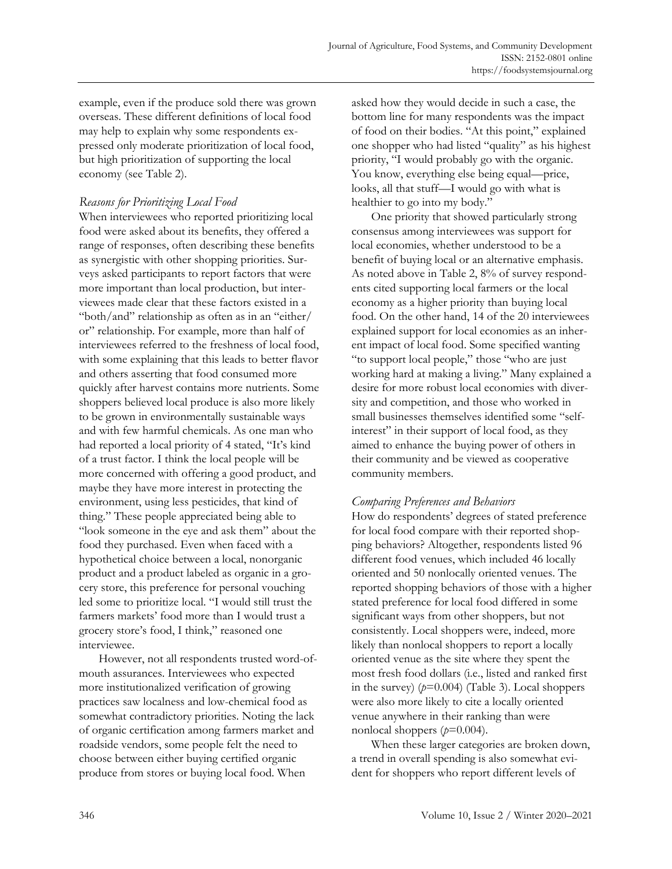example, even if the produce sold there was grown overseas. These different definitions of local food may help to explain why some respondents expressed only moderate prioritization of local food, but high prioritization of supporting the local economy (see Table 2).

## *Reasons for Prioritizing Local Food*

When interviewees who reported prioritizing local food were asked about its benefits, they offered a range of responses, often describing these benefits as synergistic with other shopping priorities. Surveys asked participants to report factors that were more important than local production, but interviewees made clear that these factors existed in a "both/and" relationship as often as in an "either/ or" relationship. For example, more than half of interviewees referred to the freshness of local food, with some explaining that this leads to better flavor and others asserting that food consumed more quickly after harvest contains more nutrients. Some shoppers believed local produce is also more likely to be grown in environmentally sustainable ways and with few harmful chemicals. As one man who had reported a local priority of 4 stated, "It's kind of a trust factor. I think the local people will be more concerned with offering a good product, and maybe they have more interest in protecting the environment, using less pesticides, that kind of thing." These people appreciated being able to "look someone in the eye and ask them" about the food they purchased. Even when faced with a hypothetical choice between a local, nonorganic product and a product labeled as organic in a grocery store, this preference for personal vouching led some to prioritize local. "I would still trust the farmers markets' food more than I would trust a grocery store's food, I think," reasoned one interviewee.

However, not all respondents trusted word-ofmouth assurances. Interviewees who expected more institutionalized verification of growing practices saw localness and low-chemical food as somewhat contradictory priorities. Noting the lack of organic certification among farmers market and roadside vendors, some people felt the need to choose between either buying certified organic produce from stores or buying local food. When

asked how they would decide in such a case, the bottom line for many respondents was the impact of food on their bodies. "At this point," explained one shopper who had listed "quality" as his highest priority, "I would probably go with the organic. You know, everything else being equal—price, looks, all that stuff—I would go with what is healthier to go into my body."

One priority that showed particularly strong consensus among interviewees was support for local economies, whether understood to be a benefit of buying local or an alternative emphasis. As noted above in Table 2, 8% of survey respondents cited supporting local farmers or the local economy as a higher priority than buying local food. On the other hand, 14 of the 20 interviewees explained support for local economies as an inherent impact of local food. Some specified wanting "to support local people," those "who are just working hard at making a living." Many explained a desire for more robust local economies with diversity and competition, and those who worked in small businesses themselves identified some "selfinterest" in their support of local food, as they aimed to enhance the buying power of others in their community and be viewed as cooperative community members.

## *Comparing Preferences and Behaviors*

How do respondents' degrees of stated preference for local food compare with their reported shopping behaviors? Altogether, respondents listed 96 different food venues, which included 46 locally oriented and 50 nonlocally oriented venues. The reported shopping behaviors of those with a higher stated preference for local food differed in some significant ways from other shoppers, but not consistently. Local shoppers were, indeed, more likely than nonlocal shoppers to report a locally oriented venue as the site where they spent the most fresh food dollars (i.e., listed and ranked first in the survey)  $(p=0.004)$  (Table 3). Local shoppers were also more likely to cite a locally oriented venue anywhere in their ranking than were nonlocal shoppers (*p*=0.004).

When these larger categories are broken down, a trend in overall spending is also somewhat evident for shoppers who report different levels of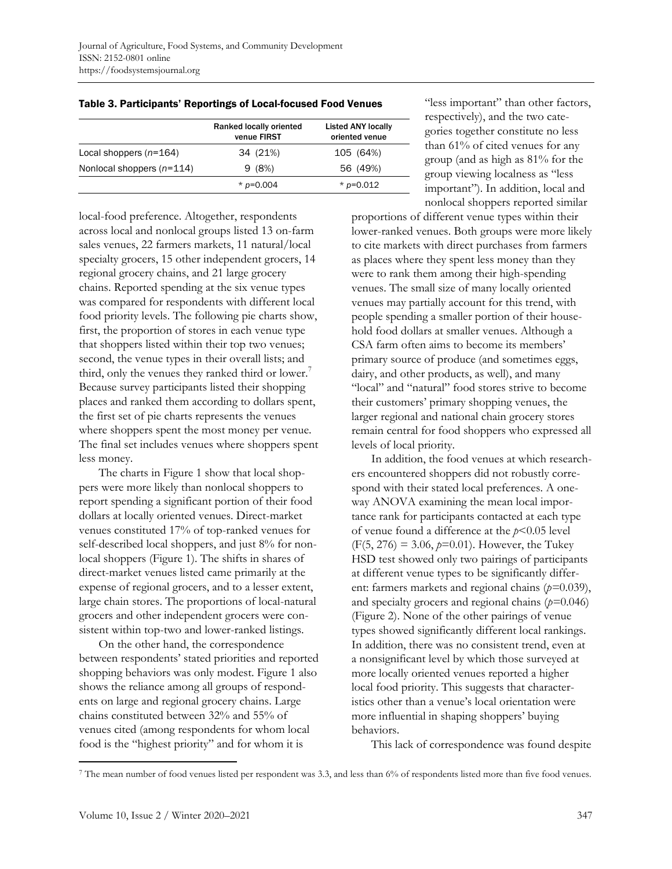|                             | Ranked locally oriented<br>venue FIRST | <b>Listed ANY locally</b><br>oriented venue |
|-----------------------------|----------------------------------------|---------------------------------------------|
| Local shoppers $(n=164)$    | 34 (21%)                               | 105 (64%)                                   |
| Nonlocal shoppers $(n=114)$ | 9(8%)                                  | 56 (49%)                                    |
|                             | * $p=0.004$                            | * $p=0.012$                                 |

Table 3. Participants' Reportings of Local-focused Food Venues

local-food preference. Altogether, respondents across local and nonlocal groups listed 13 on-farm sales venues, 22 farmers markets, 11 natural/local specialty grocers, 15 other independent grocers, 14 regional grocery chains, and 21 large grocery chains. Reported spending at the six venue types was compared for respondents with different local food priority levels. The following pie charts show, first, the proportion of stores in each venue type that shoppers listed within their top two venues; second, the venue types in their overall lists; and third, only the venues they ranked third or lower.<sup>7</sup> Because survey participants listed their shopping places and ranked them according to dollars spent, the first set of pie charts represents the venues where shoppers spent the most money per venue. The final set includes venues where shoppers spent less money.

The charts in Figure 1 show that local shoppers were more likely than nonlocal shoppers to report spending a significant portion of their food dollars at locally oriented venues. Direct-market venues constituted 17% of top-ranked venues for self-described local shoppers, and just 8% for nonlocal shoppers (Figure 1). The shifts in shares of direct-market venues listed came primarily at the expense of regional grocers, and to a lesser extent, large chain stores. The proportions of local-natural grocers and other independent grocers were consistent within top-two and lower-ranked listings.

On the other hand, the correspondence between respondents' stated priorities and reported shopping behaviors was only modest. Figure 1 also shows the reliance among all groups of respondents on large and regional grocery chains. Large chains constituted between 32% and 55% of venues cited (among respondents for whom local food is the "highest priority" and for whom it is

"less important" than other factors, respectively), and the two categories together constitute no less than 61% of cited venues for any group (and as high as 81% for the group viewing localness as "less important"). In addition, local and nonlocal shoppers reported similar

proportions of different venue types within their lower-ranked venues. Both groups were more likely to cite markets with direct purchases from farmers as places where they spent less money than they were to rank them among their high-spending venues. The small size of many locally oriented venues may partially account for this trend, with people spending a smaller portion of their household food dollars at smaller venues. Although a CSA farm often aims to become its members' primary source of produce (and sometimes eggs, dairy, and other products, as well), and many "local" and "natural" food stores strive to become their customers' primary shopping venues, the larger regional and national chain grocery stores remain central for food shoppers who expressed all levels of local priority.

In addition, the food venues at which researchers encountered shoppers did not robustly correspond with their stated local preferences. A oneway ANOVA examining the mean local importance rank for participants contacted at each type of venue found a difference at the *p*<0.05 level  $(F(5, 276) = 3.06, p=0.01)$ . However, the Tukey HSD test showed only two pairings of participants at different venue types to be significantly different: farmers markets and regional chains (*p=*0.039), and specialty grocers and regional chains (*p=*0.046) (Figure 2). None of the other pairings of venue types showed significantly different local rankings. In addition, there was no consistent trend, even at a nonsignificant level by which those surveyed at more locally oriented venues reported a higher local food priority. This suggests that characteristics other than a venue's local orientation were more influential in shaping shoppers' buying behaviors.

This lack of correspondence was found despite

<sup>&</sup>lt;sup>7</sup> The mean number of food venues listed per respondent was 3.3, and less than 6% of respondents listed more than five food venues.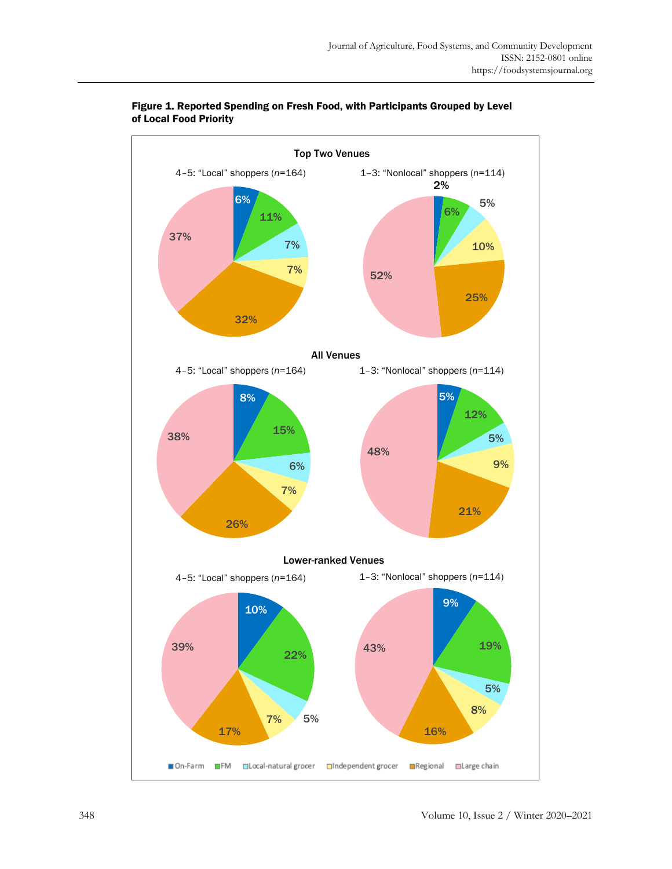

### Figure 1. Reported Spending on Fresh Food, with Participants Grouped by Level of Local Food Priority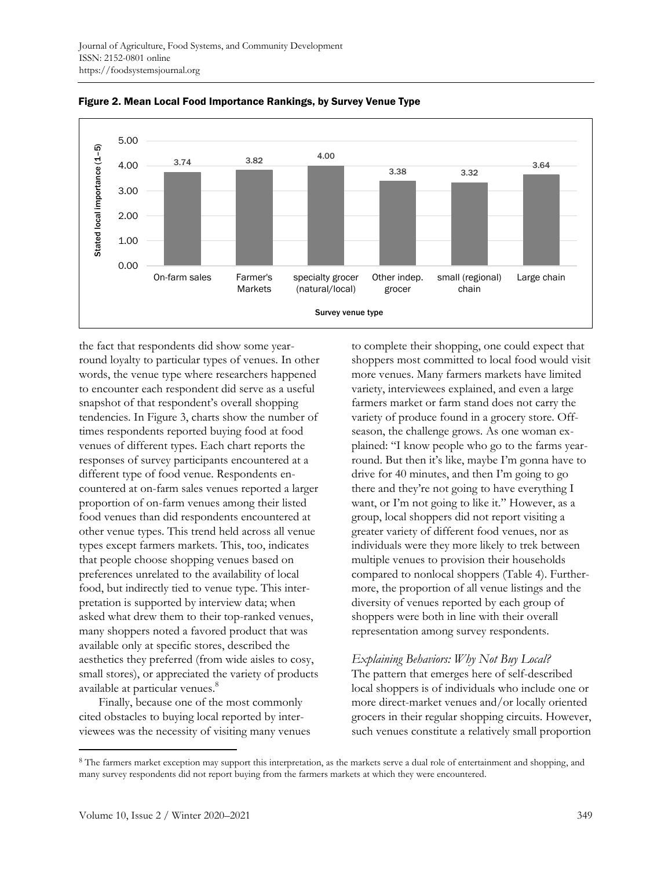

Figure 2. Mean Local Food Importance Rankings, by Survey Venue Type

the fact that respondents did show some yearround loyalty to particular types of venues. In other words, the venue type where researchers happened to encounter each respondent did serve as a useful snapshot of that respondent's overall shopping tendencies. In Figure 3, charts show the number of times respondents reported buying food at food venues of different types. Each chart reports the responses of survey participants encountered at a different type of food venue. Respondents encountered at on-farm sales venues reported a larger proportion of on-farm venues among their listed food venues than did respondents encountered at other venue types. This trend held across all venue types except farmers markets. This, too, indicates that people choose shopping venues based on preferences unrelated to the availability of local food, but indirectly tied to venue type. This interpretation is supported by interview data; when asked what drew them to their top-ranked venues, many shoppers noted a favored product that was available only at specific stores, described the aesthetics they preferred (from wide aisles to cosy, small stores), or appreciated the variety of products available at particular venues.<sup>8</sup>

Finally, because one of the most commonly cited obstacles to buying local reported by interviewees was the necessity of visiting many venues to complete their shopping, one could expect that shoppers most committed to local food would visit more venues. Many farmers markets have limited variety, interviewees explained, and even a large farmers market or farm stand does not carry the variety of produce found in a grocery store. Offseason, the challenge grows. As one woman explained: "I know people who go to the farms yearround. But then it's like, maybe I'm gonna have to drive for 40 minutes, and then I'm going to go there and they're not going to have everything I want, or I'm not going to like it." However, as a group, local shoppers did not report visiting a greater variety of different food venues, nor as individuals were they more likely to trek between multiple venues to provision their households compared to nonlocal shoppers (Table 4). Furthermore, the proportion of all venue listings and the diversity of venues reported by each group of shoppers were both in line with their overall representation among survey respondents.

## *Explaining Behaviors: Why Not Buy Local?*

The pattern that emerges here of self-described local shoppers is of individuals who include one or more direct-market venues and/or locally oriented grocers in their regular shopping circuits. However, such venues constitute a relatively small proportion

<sup>&</sup>lt;sup>8</sup> The farmers market exception may support this interpretation, as the markets serve a dual role of entertainment and shopping, and many survey respondents did not report buying from the farmers markets at which they were encountered.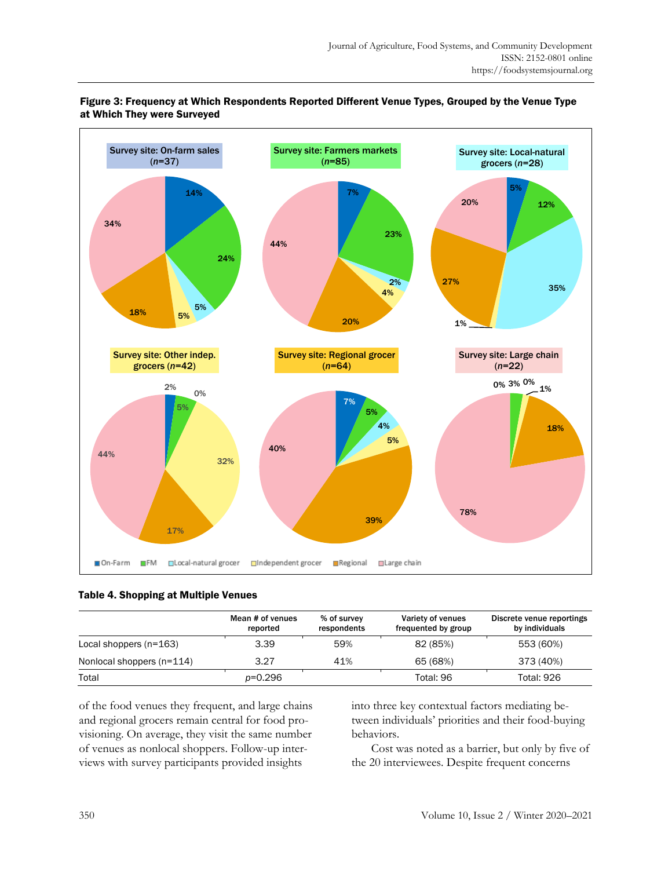

### Figure 3: Frequency at Which Respondents Reported Different Venue Types, Grouped by the Venue Type at Which They were Surveyed

### Table 4. Shopping at Multiple Venues

|                           | Mean # of venues<br>reported | % of survey<br>respondents | Variety of venues<br>frequented by group | Discrete venue reportings<br>by individuals |
|---------------------------|------------------------------|----------------------------|------------------------------------------|---------------------------------------------|
| Local shoppers $(n=163)$  | 3.39                         | 59%                        | 82 (85%)                                 | 553 (60%)                                   |
| Nonlocal shoppers (n=114) | 3.27                         | 41%                        | 65 (68%)                                 | 373 (40%)                                   |
| Total                     | p=0.296                      |                            | Total: 96                                | <b>Total: 926</b>                           |

of the food venues they frequent, and large chains and regional grocers remain central for food provisioning. On average, they visit the same number of venues as nonlocal shoppers. Follow-up interviews with survey participants provided insights

into three key contextual factors mediating between individuals' priorities and their food-buying behaviors.

Cost was noted as a barrier, but only by five of the 20 interviewees. Despite frequent concerns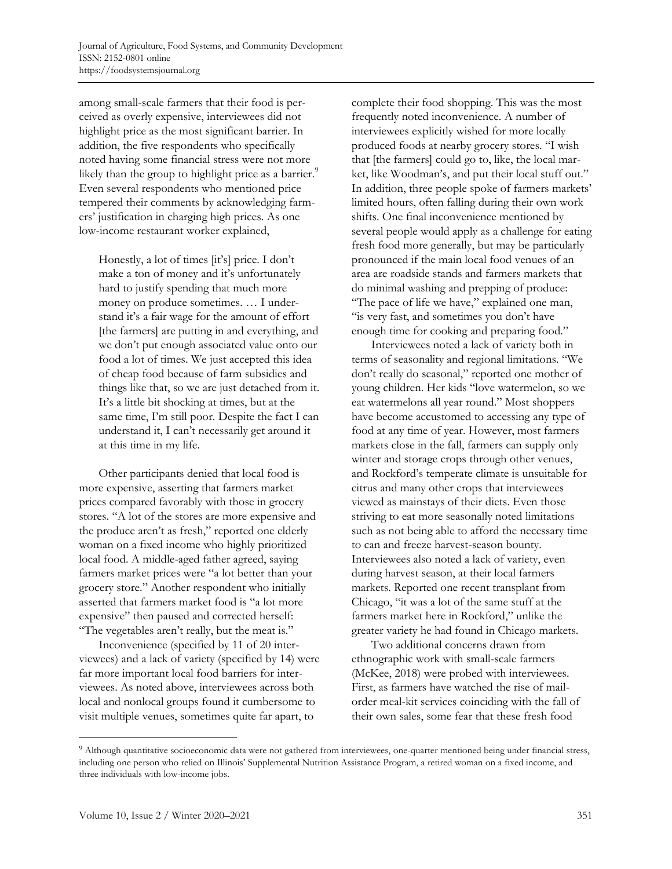among small-scale farmers that their food is perceived as overly expensive, interviewees did not highlight price as the most significant barrier. In addition, the five respondents who specifically noted having some financial stress were not more likely than the group to highlight price as a barrier.<sup>9</sup> Even several respondents who mentioned price tempered their comments by acknowledging farmers' justification in charging high prices. As one low-income restaurant worker explained,

Honestly, a lot of times [it's] price. I don't make a ton of money and it's unfortunately hard to justify spending that much more money on produce sometimes. … I understand it's a fair wage for the amount of effort [the farmers] are putting in and everything, and we don't put enough associated value onto our food a lot of times. We just accepted this idea of cheap food because of farm subsidies and things like that, so we are just detached from it. It's a little bit shocking at times, but at the same time, I'm still poor. Despite the fact I can understand it, I can't necessarily get around it at this time in my life.

Other participants denied that local food is more expensive, asserting that farmers market prices compared favorably with those in grocery stores. "A lot of the stores are more expensive and the produce aren't as fresh," reported one elderly woman on a fixed income who highly prioritized local food. A middle-aged father agreed, saying farmers market prices were "a lot better than your grocery store." Another respondent who initially asserted that farmers market food is "a lot more expensive" then paused and corrected herself: "The vegetables aren't really, but the meat is."

Inconvenience (specified by 11 of 20 interviewees) and a lack of variety (specified by 14) were far more important local food barriers for interviewees. As noted above, interviewees across both local and nonlocal groups found it cumbersome to visit multiple venues, sometimes quite far apart, to

complete their food shopping. This was the most frequently noted inconvenience. A number of interviewees explicitly wished for more locally produced foods at nearby grocery stores. "I wish that [the farmers] could go to, like, the local market, like Woodman's, and put their local stuff out." In addition, three people spoke of farmers markets' limited hours, often falling during their own work shifts. One final inconvenience mentioned by several people would apply as a challenge for eating fresh food more generally, but may be particularly pronounced if the main local food venues of an area are roadside stands and farmers markets that do minimal washing and prepping of produce: "The pace of life we have," explained one man, "is very fast, and sometimes you don't have enough time for cooking and preparing food."

Interviewees noted a lack of variety both in terms of seasonality and regional limitations. "We don't really do seasonal," reported one mother of young children. Her kids "love watermelon, so we eat watermelons all year round." Most shoppers have become accustomed to accessing any type of food at any time of year. However, most farmers markets close in the fall, farmers can supply only winter and storage crops through other venues, and Rockford's temperate climate is unsuitable for citrus and many other crops that interviewees viewed as mainstays of their diets. Even those striving to eat more seasonally noted limitations such as not being able to afford the necessary time to can and freeze harvest-season bounty. Interviewees also noted a lack of variety, even during harvest season, at their local farmers markets. Reported one recent transplant from Chicago, "it was a lot of the same stuff at the farmers market here in Rockford," unlike the greater variety he had found in Chicago markets.

Two additional concerns drawn from ethnographic work with small-scale farmers (McKee, 2018) were probed with interviewees. First, as farmers have watched the rise of mailorder meal-kit services coinciding with the fall of their own sales, some fear that these fresh food

<sup>&</sup>lt;sup>9</sup> Although quantitative socioeconomic data were not gathered from interviewees, one-quarter mentioned being under financial stress, including one person who relied on Illinois' Supplemental Nutrition Assistance Program, a retired woman on a fixed income, and three individuals with low-income jobs.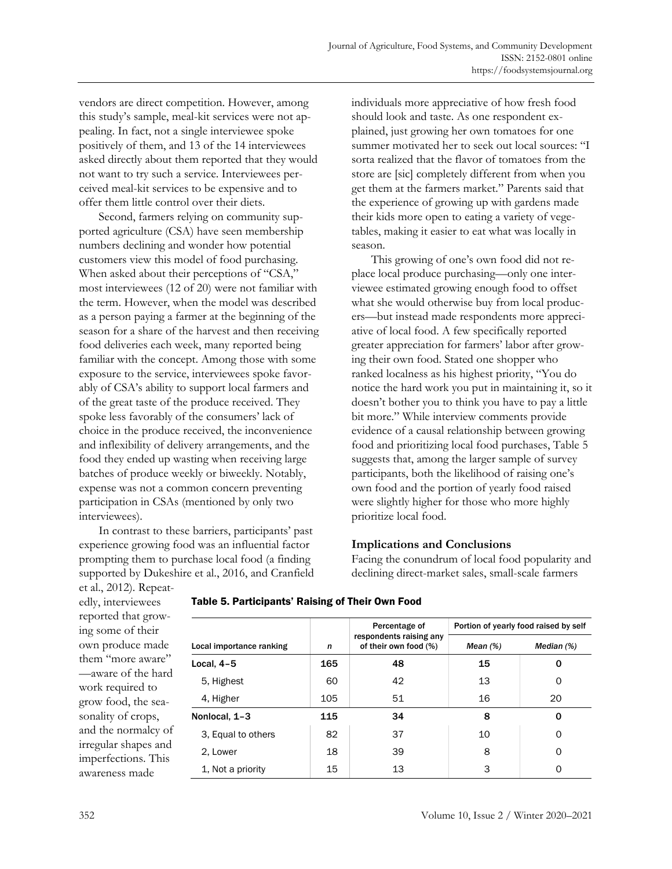vendors are direct competition. However, among this study's sample, meal-kit services were not appealing. In fact, not a single interviewee spoke positively of them, and 13 of the 14 interviewees asked directly about them reported that they would not want to try such a service. Interviewees perceived meal-kit services to be expensive and to offer them little control over their diets.

Second, farmers relying on community supported agriculture (CSA) have seen membership numbers declining and wonder how potential customers view this model of food purchasing. When asked about their perceptions of "CSA," most interviewees (12 of 20) were not familiar with the term. However, when the model was described as a person paying a farmer at the beginning of the season for a share of the harvest and then receiving food deliveries each week, many reported being familiar with the concept. Among those with some exposure to the service, interviewees spoke favorably of CSA's ability to support local farmers and of the great taste of the produce received. They spoke less favorably of the consumers' lack of choice in the produce received, the inconvenience and inflexibility of delivery arrangements, and the food they ended up wasting when receiving large batches of produce weekly or biweekly. Notably, expense was not a common concern preventing participation in CSAs (mentioned by only two interviewees).

In contrast to these barriers, participants' past experience growing food was an influential factor prompting them to purchase local food (a finding supported by Dukeshire et al., 2016, and Cranfield individuals more appreciative of how fresh food should look and taste. As one respondent explained, just growing her own tomatoes for one summer motivated her to seek out local sources: "I sorta realized that the flavor of tomatoes from the store are [sic] completely different from when you get them at the farmers market." Parents said that the experience of growing up with gardens made their kids more open to eating a variety of vegetables, making it easier to eat what was locally in season.

This growing of one's own food did not replace local produce purchasing—only one interviewee estimated growing enough food to offset what she would otherwise buy from local producers—but instead made respondents more appreciative of local food. A few specifically reported greater appreciation for farmers' labor after growing their own food. Stated one shopper who ranked localness as his highest priority, "You do notice the hard work you put in maintaining it, so it doesn't bother you to think you have to pay a little bit more." While interview comments provide evidence of a causal relationship between growing food and prioritizing local food purchases, Table 5 suggests that, among the larger sample of survey participants, both the likelihood of raising one's own food and the portion of yearly food raised were slightly higher for those who more highly prioritize local food.

## **Implications and Conclusions**

Facing the conundrum of local food popularity and declining direct-market sales, small-scale farmers

et al., 2012). Repeatedly, interviewees reported that growing some of their own produce made them "more aware" —aware of the hard work required to grow food, the seasonality of crops, and the normalcy of irregular shapes and imperfections. This awareness made

|                          |     | Percentage of                                    | Portion of yearly food raised by self |              |  |  |  |  |  |
|--------------------------|-----|--------------------------------------------------|---------------------------------------|--------------|--|--|--|--|--|
| Local importance ranking | n   | respondents raising any<br>of their own food (%) | Mean $(%)$                            | Median $(%)$ |  |  |  |  |  |
| Local, 4-5               | 165 | 48                                               | 15                                    | 0            |  |  |  |  |  |
| 5, Highest               | 60  | 42                                               | 13                                    | 0            |  |  |  |  |  |
| 4, Higher                | 105 | 51                                               | 16                                    | 20           |  |  |  |  |  |
| Nonlocal, 1-3            | 115 | 34                                               | 8                                     | 0            |  |  |  |  |  |
| 3, Equal to others       | 82  | 37                                               | 10                                    | 0            |  |  |  |  |  |
| 2. Lower                 | 18  | 39                                               | 8                                     | 0            |  |  |  |  |  |
| 1, Not a priority        | 15  | 13                                               | 3                                     | 0            |  |  |  |  |  |
|                          |     |                                                  |                                       |              |  |  |  |  |  |

### Table 5. Participants' Raising of Their Own Food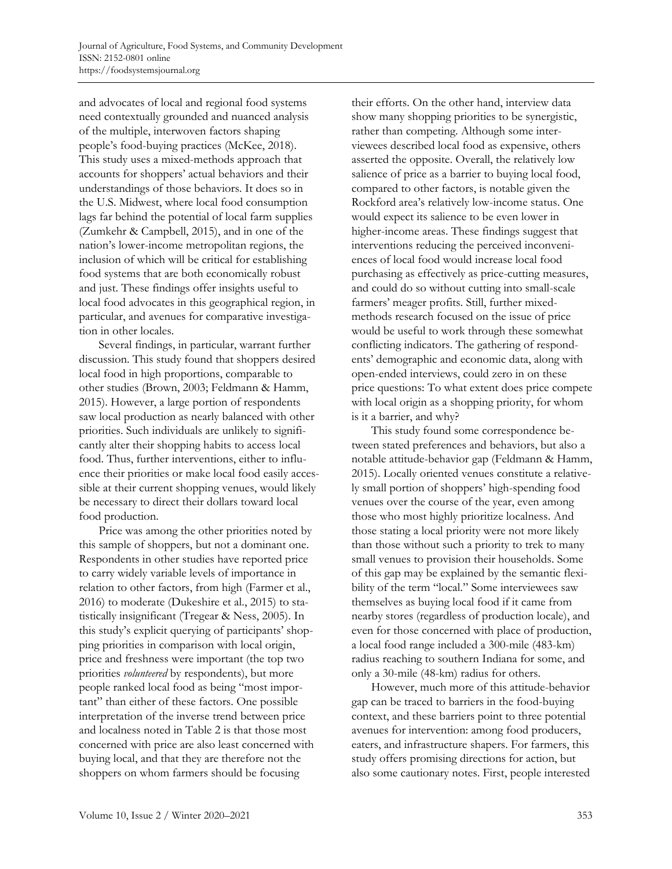and advocates of local and regional food systems need contextually grounded and nuanced analysis of the multiple, interwoven factors shaping people's food-buying practices (McKee, 2018). This study uses a mixed-methods approach that accounts for shoppers' actual behaviors and their understandings of those behaviors. It does so in the U.S. Midwest, where local food consumption lags far behind the potential of local farm supplies (Zumkehr & Campbell, 2015), and in one of the nation's lower-income metropolitan regions, the inclusion of which will be critical for establishing food systems that are both economically robust and just. These findings offer insights useful to local food advocates in this geographical region, in particular, and avenues for comparative investigation in other locales.

Several findings, in particular, warrant further discussion. This study found that shoppers desired local food in high proportions, comparable to other studies (Brown, 2003; Feldmann & Hamm, 2015). However, a large portion of respondents saw local production as nearly balanced with other priorities. Such individuals are unlikely to significantly alter their shopping habits to access local food. Thus, further interventions, either to influence their priorities or make local food easily accessible at their current shopping venues, would likely be necessary to direct their dollars toward local food production.

Price was among the other priorities noted by this sample of shoppers, but not a dominant one. Respondents in other studies have reported price to carry widely variable levels of importance in relation to other factors, from high (Farmer et al., 2016) to moderate (Dukeshire et al., 2015) to statistically insignificant (Tregear & Ness, 2005). In this study's explicit querying of participants' shopping priorities in comparison with local origin, price and freshness were important (the top two priorities *volunteered* by respondents), but more people ranked local food as being "most important" than either of these factors. One possible interpretation of the inverse trend between price and localness noted in Table 2 is that those most concerned with price are also least concerned with buying local, and that they are therefore not the shoppers on whom farmers should be focusing

their efforts. On the other hand, interview data show many shopping priorities to be synergistic, rather than competing. Although some interviewees described local food as expensive, others asserted the opposite. Overall, the relatively low salience of price as a barrier to buying local food, compared to other factors, is notable given the Rockford area's relatively low-income status. One would expect its salience to be even lower in higher-income areas. These findings suggest that interventions reducing the perceived inconveniences of local food would increase local food purchasing as effectively as price-cutting measures, and could do so without cutting into small-scale farmers' meager profits. Still, further mixedmethods research focused on the issue of price would be useful to work through these somewhat conflicting indicators. The gathering of respondents' demographic and economic data, along with open-ended interviews, could zero in on these price questions: To what extent does price compete with local origin as a shopping priority, for whom is it a barrier, and why?

This study found some correspondence between stated preferences and behaviors, but also a notable attitude-behavior gap (Feldmann & Hamm, 2015). Locally oriented venues constitute a relatively small portion of shoppers' high-spending food venues over the course of the year, even among those who most highly prioritize localness. And those stating a local priority were not more likely than those without such a priority to trek to many small venues to provision their households. Some of this gap may be explained by the semantic flexibility of the term "local." Some interviewees saw themselves as buying local food if it came from nearby stores (regardless of production locale), and even for those concerned with place of production, a local food range included a 300-mile (483-km) radius reaching to southern Indiana for some, and only a 30-mile (48-km) radius for others.

However, much more of this attitude-behavior gap can be traced to barriers in the food-buying context, and these barriers point to three potential avenues for intervention: among food producers, eaters, and infrastructure shapers. For farmers, this study offers promising directions for action, but also some cautionary notes. First, people interested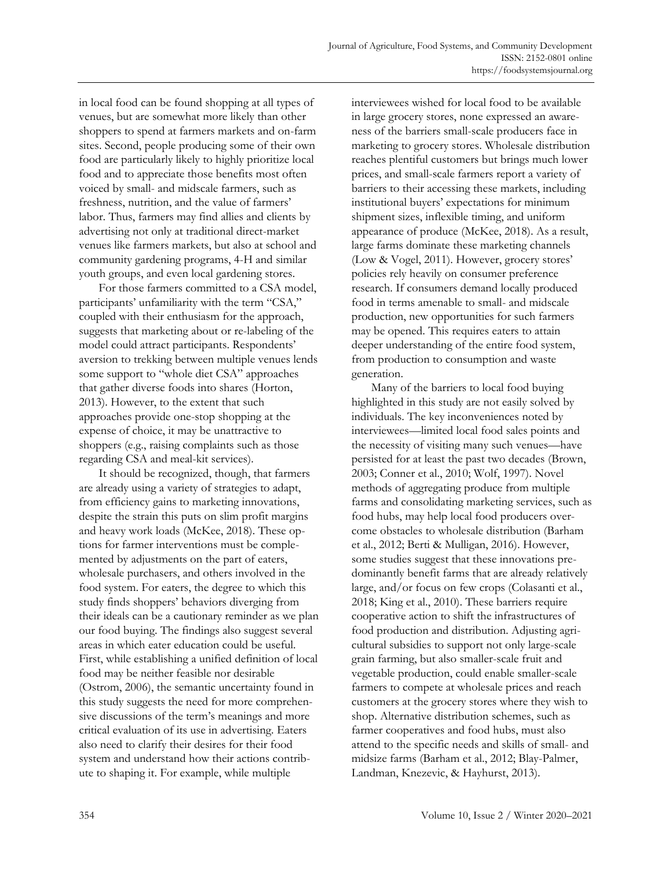in local food can be found shopping at all types of venues, but are somewhat more likely than other shoppers to spend at farmers markets and on-farm sites. Second, people producing some of their own food are particularly likely to highly prioritize local food and to appreciate those benefits most often voiced by small- and midscale farmers, such as freshness, nutrition, and the value of farmers' labor. Thus, farmers may find allies and clients by advertising not only at traditional direct-market venues like farmers markets, but also at school and community gardening programs, 4-H and similar youth groups, and even local gardening stores.

For those farmers committed to a CSA model, participants' unfamiliarity with the term "CSA," coupled with their enthusiasm for the approach, suggests that marketing about or re-labeling of the model could attract participants. Respondents' aversion to trekking between multiple venues lends some support to "whole diet CSA" approaches that gather diverse foods into shares (Horton, 2013). However, to the extent that such approaches provide one-stop shopping at the expense of choice, it may be unattractive to shoppers (e.g., raising complaints such as those regarding CSA and meal-kit services).

It should be recognized, though, that farmers are already using a variety of strategies to adapt, from efficiency gains to marketing innovations, despite the strain this puts on slim profit margins and heavy work loads (McKee, 2018). These options for farmer interventions must be complemented by adjustments on the part of eaters, wholesale purchasers, and others involved in the food system. For eaters, the degree to which this study finds shoppers' behaviors diverging from their ideals can be a cautionary reminder as we plan our food buying. The findings also suggest several areas in which eater education could be useful. First, while establishing a unified definition of local food may be neither feasible nor desirable (Ostrom, 2006), the semantic uncertainty found in this study suggests the need for more comprehensive discussions of the term's meanings and more critical evaluation of its use in advertising. Eaters also need to clarify their desires for their food system and understand how their actions contribute to shaping it. For example, while multiple

interviewees wished for local food to be available in large grocery stores, none expressed an awareness of the barriers small-scale producers face in marketing to grocery stores. Wholesale distribution reaches plentiful customers but brings much lower prices, and small-scale farmers report a variety of barriers to their accessing these markets, including institutional buyers' expectations for minimum shipment sizes, inflexible timing, and uniform appearance of produce (McKee, 2018). As a result, large farms dominate these marketing channels (Low & Vogel, 2011). However, grocery stores' policies rely heavily on consumer preference research. If consumers demand locally produced food in terms amenable to small- and midscale production, new opportunities for such farmers may be opened. This requires eaters to attain deeper understanding of the entire food system, from production to consumption and waste generation.

Many of the barriers to local food buying highlighted in this study are not easily solved by individuals. The key inconveniences noted by interviewees—limited local food sales points and the necessity of visiting many such venues—have persisted for at least the past two decades (Brown, 2003; Conner et al., 2010; Wolf, 1997). Novel methods of aggregating produce from multiple farms and consolidating marketing services, such as food hubs, may help local food producers overcome obstacles to wholesale distribution (Barham et al., 2012; Berti & Mulligan, 2016). However, some studies suggest that these innovations predominantly benefit farms that are already relatively large, and/or focus on few crops (Colasanti et al., 2018; King et al., 2010). These barriers require cooperative action to shift the infrastructures of food production and distribution. Adjusting agricultural subsidies to support not only large-scale grain farming, but also smaller-scale fruit and vegetable production, could enable smaller-scale farmers to compete at wholesale prices and reach customers at the grocery stores where they wish to shop. Alternative distribution schemes, such as farmer cooperatives and food hubs, must also attend to the specific needs and skills of small- and midsize farms (Barham et al., 2012; Blay-Palmer, Landman, Knezevic, & Hayhurst, 2013).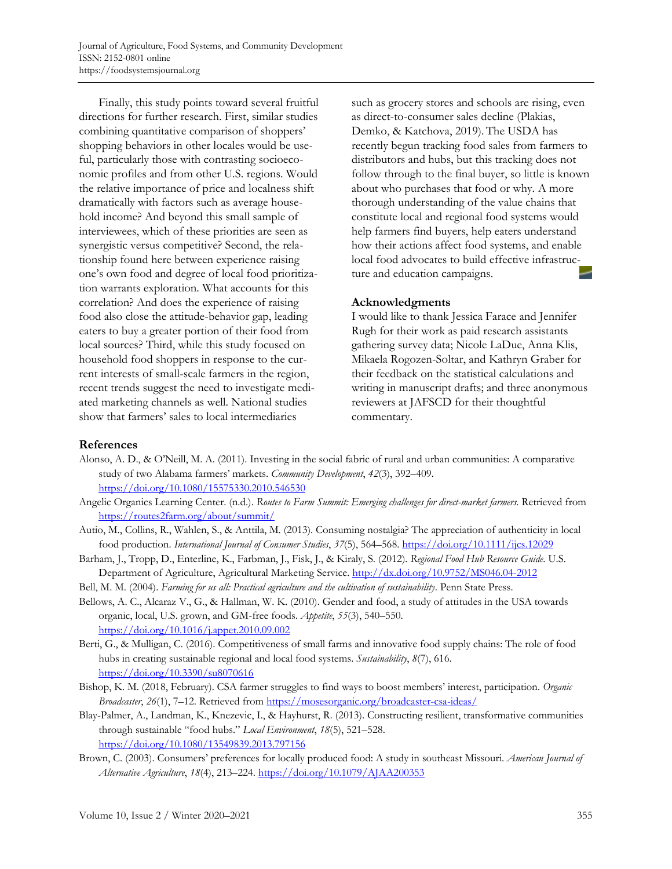Finally, this study points toward several fruitful directions for further research. First, similar studies combining quantitative comparison of shoppers' shopping behaviors in other locales would be useful, particularly those with contrasting socioeconomic profiles and from other U.S. regions. Would the relative importance of price and localness shift dramatically with factors such as average household income? And beyond this small sample of interviewees, which of these priorities are seen as synergistic versus competitive? Second, the relationship found here between experience raising one's own food and degree of local food prioritization warrants exploration. What accounts for this correlation? And does the experience of raising food also close the attitude-behavior gap, leading eaters to buy a greater portion of their food from local sources? Third, while this study focused on household food shoppers in response to the current interests of small-scale farmers in the region, recent trends suggest the need to investigate mediated marketing channels as well. National studies show that farmers' sales to local intermediaries

such as grocery stores and schools are rising, even as direct-to-consumer sales decline (Plakias, Demko, & Katchova, 2019). The USDA has recently begun tracking food sales from farmers to distributors and hubs, but this tracking does not follow through to the final buyer, so little is known about who purchases that food or why. A more thorough understanding of the value chains that constitute local and regional food systems would help farmers find buyers, help eaters understand how their actions affect food systems, and enable local food advocates to build effective infrastructure and education campaigns.

### **Acknowledgments**

I would like to thank Jessica Farace and Jennifer Rugh for their work as paid research assistants gathering survey data; Nicole LaDue, Anna Klis, Mikaela Rogozen-Soltar, and Kathryn Graber for their feedback on the statistical calculations and writing in manuscript drafts; and three anonymous reviewers at JAFSCD for their thoughtful commentary.

## **References**

- Alonso, A. D., & O'Neill, M. A. (2011). Investing in the social fabric of rural and urban communities: A comparative study of two Alabama farmers' markets. *Community Development*, *42*(3), 392–409. https://doi.org/10.1080/15575330.2010.546530
- Angelic Organics Learning Center. (n.d.). *Routes to Farm Summit: Emerging challenges for direct-market farmers.* Retrieved from https://routes2farm.org/about/summit/
- Autio, M., Collins, R., Wahlen, S., & Anttila, M. (2013). Consuming nostalgia? The appreciation of authenticity in local food production. *International Journal of Consumer Studies*, *37*(5), 564–568. https://doi.org/10.1111/ijcs.12029
- Barham, J., Tropp, D., Enterline, K., Farbman, J., Fisk, J., & Kiraly, S. (2012). *Regional Food Hub Resource Guide*. U.S. Department of Agriculture, Agricultural Marketing Service. http://dx.doi.org/10.9752/MS046.04-2012
- Bell, M. M. (2004). *Farming for us all: Practical agriculture and the cultivation of sustainability*. Penn State Press.
- Bellows, A. C., Alcaraz V., G., & Hallman, W. K. (2010). Gender and food, a study of attitudes in the USA towards organic, local, U.S. grown, and GM-free foods. *Appetite*, *55*(3), 540–550. https://doi.org/10.1016/j.appet.2010.09.002
- Berti, G., & Mulligan, C. (2016). Competitiveness of small farms and innovative food supply chains: The role of food hubs in creating sustainable regional and local food systems. *Sustainability*, *8*(7), 616. https://doi.org/10.3390/su8070616
- Bishop, K. M. (2018, February). CSA farmer struggles to find ways to boost members' interest, participation. *Organic Broadcaster*, *26*(1), 7–12. Retrieved from https://mosesorganic.org/broadcaster-csa-ideas/
- Blay-Palmer, A., Landman, K., Knezevic, I., & Hayhurst, R. (2013). Constructing resilient, transformative communities through sustainable "food hubs." *Local Environment*, *18*(5), 521–528. https://doi.org/10.1080/13549839.2013.797156
- Brown, C. (2003). Consumers' preferences for locally produced food: A study in southeast Missouri. *American Journal of Alternative Agriculture*, *18*(4), 213–224. https://doi.org/10.1079/AJAA200353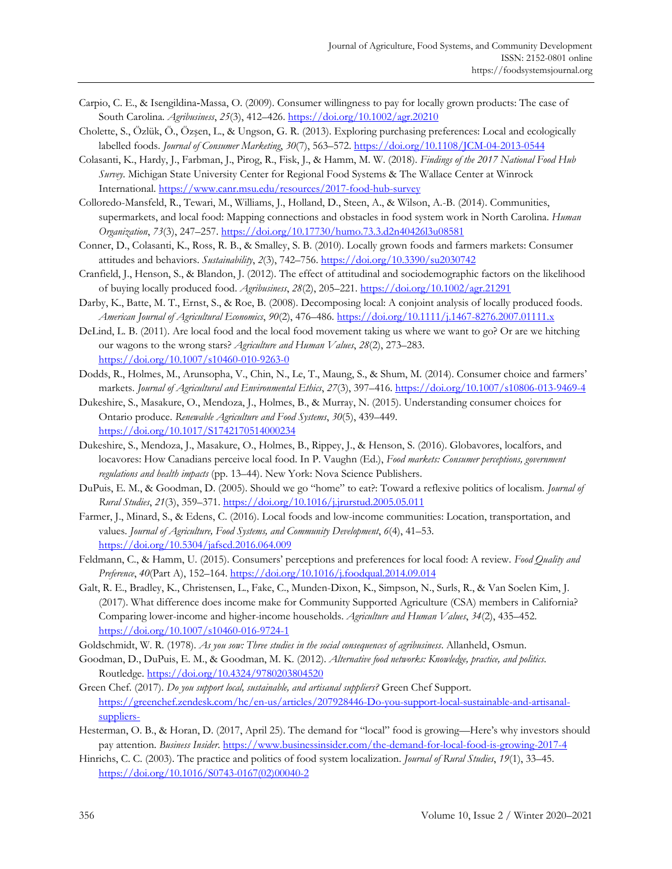- Carpio, C. E., & Isengildina‐Massa, O. (2009). Consumer willingness to pay for locally grown products: The case of South Carolina. *Agribusiness*, *25*(3), 412–426. https://doi.org/10.1002/agr.20210
- Cholette, S., Özlük, Ö., Özşen, L., & Ungson, G. R. (2013). Exploring purchasing preferences: Local and ecologically labelled foods. *Journal of Consumer Marketing*, *30*(7), 563–572. https://doi.org/10.1108/JCM-04-2013-0544
- Colasanti, K., Hardy, J., Farbman, J., Pirog, R., Fisk, J., & Hamm, M. W. (2018). *Findings of the 2017 National Food Hub Survey*. Michigan State University Center for Regional Food Systems & The Wallace Center at Winrock International. https://www.canr.msu.edu/resources/2017-food-hub-survey
- Colloredo-Mansfeld, R., Tewari, M., Williams, J., Holland, D., Steen, A., & Wilson, A.-B. (2014). Communities, supermarkets, and local food: Mapping connections and obstacles in food system work in North Carolina. *Human Organization*, *73*(3), 247–257. https://doi.org/10.17730/humo.73.3.d2n40426l3u08581
- Conner, D., Colasanti, K., Ross, R. B., & Smalley, S. B. (2010). Locally grown foods and farmers markets: Consumer attitudes and behaviors. *Sustainability*, *2*(3), 742–756. https://doi.org/10.3390/su2030742
- Cranfield, J., Henson, S., & Blandon, J. (2012). The effect of attitudinal and sociodemographic factors on the likelihood of buying locally produced food. *Agribusiness*, *28*(2), 205–221. https://doi.org/10.1002/agr.21291
- Darby, K., Batte, M. T., Ernst, S., & Roe, B. (2008). Decomposing local: A conjoint analysis of locally produced foods. *American Journal of Agricultural Economics*, *90*(2), 476–486. https://doi.org/10.1111/j.1467-8276.2007.01111.x
- DeLind, L. B. (2011). Are local food and the local food movement taking us where we want to go? Or are we hitching our wagons to the wrong stars? *Agriculture and Human Values*, *28*(2), 273–283. https://doi.org/10.1007/s10460-010-9263-0
- Dodds, R., Holmes, M., Arunsopha, V., Chin, N., Le, T., Maung, S., & Shum, M. (2014). Consumer choice and farmers' markets. *Journal of Agricultural and Environmental Ethics*, *27*(3), 397–416. https://doi.org/10.1007/s10806-013-9469-4
- Dukeshire, S., Masakure, O., Mendoza, J., Holmes, B., & Murray, N. (2015). Understanding consumer choices for Ontario produce. *Renewable Agriculture and Food Systems*, *30*(5), 439–449. https://doi.org/10.1017/S1742170514000234
- Dukeshire, S., Mendoza, J., Masakure, O., Holmes, B., Rippey, J., & Henson, S. (2016). Globavores, localfors, and locavores: How Canadians perceive local food. In P. Vaughn (Ed.), *Food markets: Consumer perceptions, government regulations and health impacts* (pp. 13–44). New York: Nova Science Publishers.
- DuPuis, E. M., & Goodman, D. (2005). Should we go "home" to eat?: Toward a reflexive politics of localism. *Journal of Rural Studies*, *21*(3), 359–371. https://doi.org/10.1016/j.jrurstud.2005.05.011
- Farmer, J., Minard, S., & Edens, C. (2016). Local foods and low-income communities: Location, transportation, and values. *Journal of Agriculture, Food Systems, and Community Development*, *6*(4), 41–53. https://doi.org/10.5304/jafscd.2016.064.009
- Feldmann, C., & Hamm, U. (2015). Consumers' perceptions and preferences for local food: A review. *Food Quality and Preference*, *40*(Part A), 152–164. https://doi.org/10.1016/j.foodqual.2014.09.014
- Galt, R. E., Bradley, K., Christensen, L., Fake, C., Munden-Dixon, K., Simpson, N., Surls, R., & Van Soelen Kim, J. (2017). What difference does income make for Community Supported Agriculture (CSA) members in California? Comparing lower-income and higher-income households. *Agriculture and Human Values*, *34*(2), 435–452. https://doi.org/10.1007/s10460-016-9724-1
- Goldschmidt, W. R. (1978). *As you sow: Three studies in the social consequences of agribusiness*. Allanheld, Osmun.
- Goodman, D., DuPuis, E. M., & Goodman, M. K. (2012). *Alternative food networks: Knowledge, practice, and politics*. Routledge. https://doi.org/10.4324/9780203804520
- Green Chef. (2017). *Do you support local, sustainable, and artisanal suppliers?* Green Chef Support. [https://greenchef.zendesk.com/hc/en-us/articles/207928446-Do-you-support-local-sustainable-and-artisanal](https://greenchef.zendesk.com/hc/en-us/articles/207928446-Do-you-support-local-sustainable-and-artisanal-suppliers-)suppliers-
- Hesterman, O. B., & Horan, D. (2017, April 25). The demand for "local" food is growing—Here's why investors should pay attention. *Business Insider*. https://www.businessinsider.com/the-demand-for-local-food-is-growing-2017-4
- Hinrichs, C. C. (2003). The practice and politics of food system localization. *Journal of Rural Studies*, *19*(1), 33–45. [https://doi.org/10.1016/S0743-0167\(02\)00040-2](https://doi.org/10.1016/S0743-0167(02)00040-2)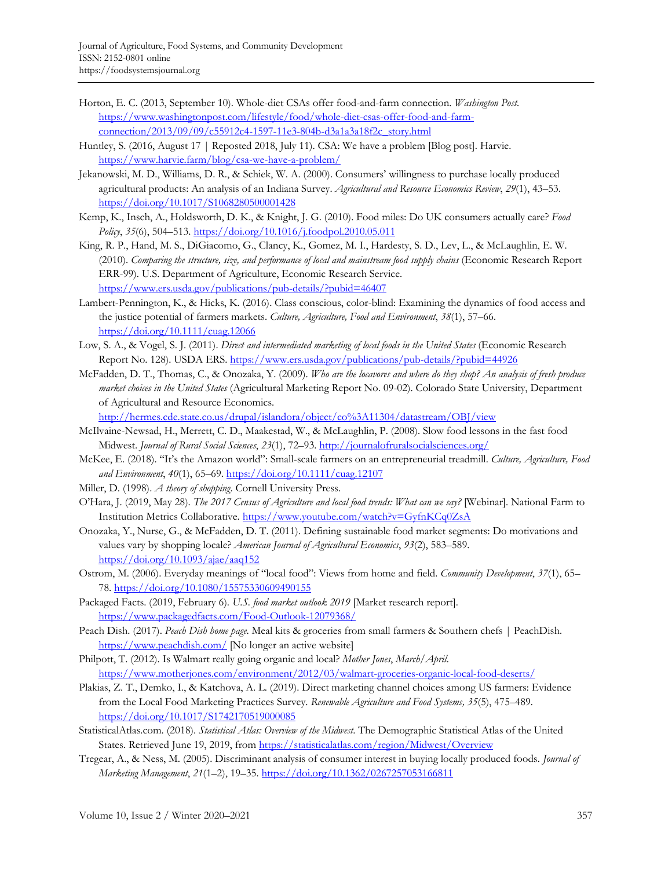- Horton, E. C. (2013, September 10). Whole-diet CSAs offer food-and-farm connection. *Washington Post*. [https://www.washingtonpost.com/lifestyle/food/whole-diet-csas-offer-food-and-farm](https://www.washingtonpost.com/lifestyle/food/whole-diet-csas-offer-food-and-farm-connection/2013/09/09/c55912c4-1597-11e3-804b-d3a1a3a18f2c_story.html)connection/2013/09/09/c55912c4-1597-11e3-804b-d3a1a3a18f2c\_story.html
- Huntley, S. (2016, August 17 | Reposted 2018, July 11). CSA: We have a problem [Blog post]. Harvie. <https://www.harvie.farm/blog/csa-we-have-a-problem/>
- Jekanowski, M. D., Williams, D. R., & Schiek, W. A. (2000). Consumers' willingness to purchase locally produced agricultural products: An analysis of an Indiana Survey. *Agricultural and Resource Economics Review*, *29*(1), 43–53. https://doi.org/10.1017/S1068280500001428
- Kemp, K., Insch, A., Holdsworth, D. K., & Knight, J. G. (2010). Food miles: Do UK consumers actually care? *Food Policy*, *35*(6), 504–513. https://doi.org/10.1016/j.foodpol.2010.05.011
- King, R. P., Hand, M. S., DiGiacomo, G., Clancy, K., Gomez, M. I., Hardesty, S. D., Lev, L., & McLaughlin, E. W. (2010). *Comparing the structure, size, and performance of local and mainstream food supply chains* (Economic Research Report ERR-99). U.S. Department of Agriculture, Economic Research Service. https://www.ers.usda.gov/publications/pub-details/?pubid=46407
- Lambert-Pennington, K., & Hicks, K. (2016). Class conscious, color-blind: Examining the dynamics of food access and the justice potential of farmers markets. *Culture, Agriculture, Food and Environment*, *38*(1), 57–66. https://doi.org/10.1111/cuag.12066
- Low, S. A., & Vogel, S. J. (2011). *Direct and intermediated marketing of local foods in the United States* (Economic Research Report No. 128). USDA ERS. https://www.ers.usda.gov/publications/pub-details/?pubid=44926
- McFadden, D. T., Thomas, C., & Onozaka, Y. (2009). *Who are the locavores and where do they shop? An analysis of fresh produce market choices in the United States* (Agricultural Marketing Report No. 09-02). Colorado State University, Department of Agricultural and Resource Economics.

http://hermes.cde.state.co.us/drupal/islandora/object/co%3A11304/datastream/OBJ/view

- McIlvaine-Newsad, H., Merrett, C. D., Maakestad, W., & McLaughlin, P. (2008). Slow food lessons in the fast food Midwest. *Journal of Rural Social Sciences*, *23*(1), 72–93. http://journalofruralsocialsciences.org/
- McKee, E. (2018). "It's the Amazon world": Small-scale farmers on an entrepreneurial treadmill. *Culture, Agriculture, Food and Environment*, *40*(1), 65–69. https://doi.org/10.1111/cuag.12107
- Miller, D. (1998). *A theory of shopping*. Cornell University Press.
- O'Hara, J. (2019, May 28). *The 2017 Census of Agriculture and local food trends: What can we say?* [Webinar]. National Farm to Institution Metrics Collaborative. https://www.youtube.com/watch?v=GyfnKCq0ZsA
- Onozaka, Y., Nurse, G., & McFadden, D. T. (2011). Defining sustainable food market segments: Do motivations and values vary by shopping locale? *American Journal of Agricultural Economics*, *93*(2), 583–589. https://doi.org/10.1093/ajae/aaq152
- Ostrom, M. (2006). Everyday meanings of "local food": Views from home and field. *Community Development*, *37*(1), 65– 78. https://doi.org/10.1080/15575330609490155
- Packaged Facts. (2019, February 6). *U.S. food market outlook 2019* [Market research report]. <https://www.packagedfacts.com/Food-Outlook-12079368/>
- Peach Dish. (2017). *Peach Dish home page*. Meal kits & groceries from small farmers & Southern chefs | PeachDish. https://www.peachdish.com/ [No longer an active website]
- Philpott, T. (2012). Is Walmart really going organic and local? *Mother Jones*, *March/April*. <https://www.motherjones.com/environment/2012/03/walmart-groceries-organic-local-food-deserts/>
- Plakias, Z. T., Demko, I., & Katchova, A. L. (2019). Direct marketing channel choices among US farmers: Evidence from the Local Food Marketing Practices Survey. *Renewable Agriculture and Food Systems, 35*(5), 475–489. https://doi.org/10.1017/S1742170519000085
- StatisticalAtlas.com. (2018). *Statistical Atlas: Overview of the Midwest*. The Demographic Statistical Atlas of the United States. Retrieved June 19, 2019, from https://statisticalatlas.com/region/Midwest/Overview
- Tregear, A., & Ness, M. (2005). Discriminant analysis of consumer interest in buying locally produced foods. *Journal of Marketing Management*, *21*(1–2), 19–35. https://doi.org/10.1362/0267257053166811